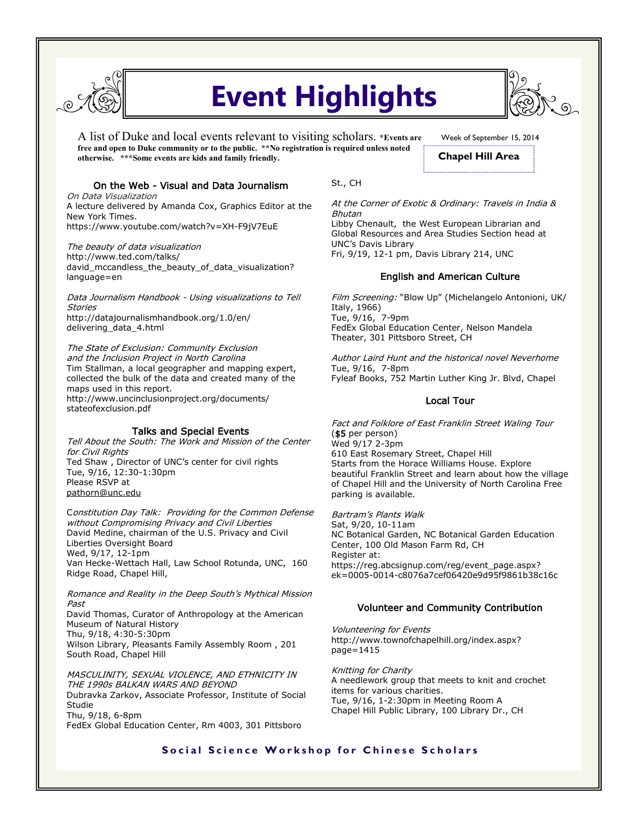

# **Event Highlights**

A list of Duke and local events relevant to visiting scholars. **\*Events are free and open to Duke community or to the public. \*\*No registration is required unless noted otherwise. \*\*\*Some events are kids and family friendly.** 

# On the Web - Visual and Data Journalism

On Data Visualization A lecture delivered by Amanda Cox, Graphics Editor at the New York Times. https://www.youtube.com/watch?v=XH-F9jV7EuE

The beauty of data visualization http://www.ted.com/talks/ david\_mccandless\_the\_beauty\_of\_data\_visualization? language=en

Data Journalism Handbook - Using visualizations to Tell Stories http://datajournalismhandbook.org/1.0/en/ delivering\_data\_4.html

The State of Exclusion: Community Exclusion and the Inclusion Project in North Carolina Tim Stallman, a local geographer and mapping expert, collected the bulk of the data and created many of the maps used in this report. http://www.uncinclusionproject.org/documents/ stateofexclusion.pdf

### Talks and Special Events

Tell About the South: The Work and Mission of the Center for Civil Rights Ted Shaw , Director of UNC's center for civil rights Tue, 9/16, 12:30-1:30pm Please RSVP at [pathorn@unc.edu](http://south.unc.edu/event/tell-south-ted-shaw/pathorn@unc.edu)

Constitution Day Talk: Providing for the Common Defense without Compromising Privacy and Civil Liberties David Medine, chairman of the U.S. Privacy and Civil Liberties Oversight Board Wed, 9/17, 12-1pm Van Hecke-Wettach Hall, Law School Rotunda, UNC, 160 Ridge Road, Chapel Hill,

Romance and Reality in the Deep South's Mythical Mission Past David Thomas, Curator of Anthropology at the American Museum of Natural History Thu, 9/18, 4:30-5:30pm Wilson Library, Pleasants Family Assembly Room , 201

MASCULINITY, SEXUAL VIOLENCE, AND ETHNICITY IN THE 1990s BALKAN WARS AND BEYOND Dubravka Zarkov, Associate Professor, Institute of Social Studie Thu, 9/18, 6-8pm FedEx Global Education Center, Rm 4003, 301 Pittsboro

South Road, Chapel Hill

St., CH

At the Corner of Exotic & Ordinary: Travels in India & Bhutan Libby Chenault, the West European Librarian and

Global Resources and Area Studies Section head at UNC's Davis Library Fri, 9/19, 12-1 pm, Davis Library 214, UNC

### English and American Culture

Film Screening: "Blow Up" (Michelangelo Antonioni, UK/ Italy, 1966) Tue, 9/16, 7-9pm FedEx Global Education Center, Nelson Mandela Theater, 301 Pittsboro Street, CH

Author Laird Hunt and the historical novel Neverhome Tue, 9/16, 7-8pm Fyleaf Books, 752 Martin Luther King Jr. Blvd, Chapel

# Local Tour

Fact and Folklore of East Franklin Street Waling Tour (\$5 per person) Wed 9/17 2-3pm 610 East Rosemary Street, Chapel Hill Starts from the Horace Williams House. Explore beautiful Franklin Street and learn about how the village of Chapel Hill and the University of North Carolina Free parking is available.

Bartram's Plants Walk Sat, 9/20, 10-11am NC Botanical Garden, NC Botanical Garden Education Center, 100 Old Mason Farm Rd, CH Register at: https://reg.abcsignup.com/reg/event\_page.aspx? ek=0005-0014-c8076a7cef06420e9d95f9861b38c16c

## Volunteer and Community Contribution

Volunteering for Events http://www.townofchapelhill.org/index.aspx? page=1415

Knitting for Charity A needlework group that meets to knit and crochet items for various charities. Tue, 9/16, 1-2:30pm in Meeting Room A Chapel Hill Public Library, 100 Library Dr., CH

# **Social Science Workshop for Chinese Scholars**



Week of September 15, 2014 **Chapel Hill Area**